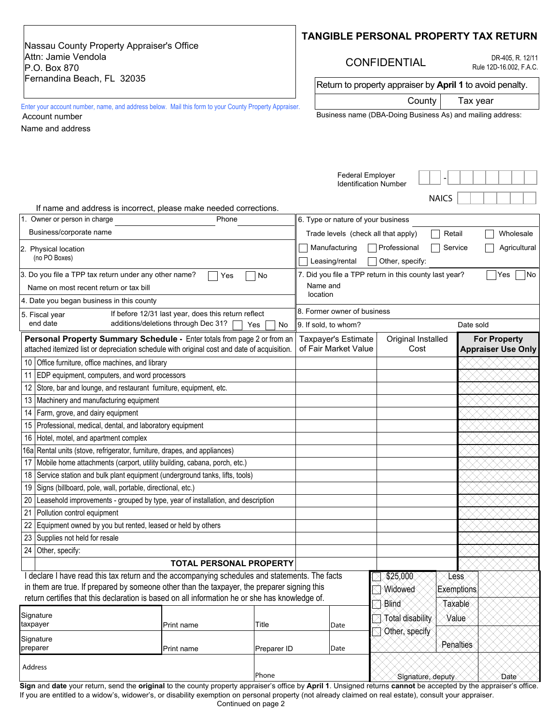Nassau County Property Appraiser's Office Attn: Jamie Vendola P.O. Box 870 Fernandina Beach, FL 32035

### **TANGIBLE PERSONAL PROPERTY TAX RETURN**

# CONFIDENTIAL

DR-405, R. 12/11 Rule 12D-16.002, F.A.C.

Return to property appraiser by **April 1** to avoid penalty.

County | Tax year  $\overline{\phantom{0}}$ 

Enter your account number, name, and address below. Mail this form to your County Property Appraiser. Account number

Name and address

| Business name (DBA-Doing Business As) and mailing address: |  |  |  |
|------------------------------------------------------------|--|--|--|
|                                                            |  |  |  |

|                                                                                                                                                                         |                                                                                  |                                             |                                   | <b>Federal Employer</b><br><b>Identification Number</b>                                         |                         |              |      |  |  |  |  |  |
|-------------------------------------------------------------------------------------------------------------------------------------------------------------------------|----------------------------------------------------------------------------------|---------------------------------------------|-----------------------------------|-------------------------------------------------------------------------------------------------|-------------------------|--------------|------|--|--|--|--|--|
| If name and address is incorrect, please make needed corrections.                                                                                                       |                                                                                  |                                             |                                   |                                                                                                 |                         | <b>NAICS</b> |      |  |  |  |  |  |
| 1. Owner or person in charge                                                                                                                                            | Phone                                                                            |                                             |                                   | 6. Type or nature of your business                                                              |                         |              |      |  |  |  |  |  |
| Business/corporate name                                                                                                                                                 |                                                                                  |                                             |                                   | Retail                                                                                          | Wholesale               |              |      |  |  |  |  |  |
| 2. Physical location<br>(no PO Boxes)                                                                                                                                   |                                                                                  |                                             |                                   | Trade levels (check all that apply)<br>Professional<br>Agricultural<br>Manufacturing<br>Service |                         |              |      |  |  |  |  |  |
|                                                                                                                                                                         |                                                                                  |                                             |                                   | Leasing/rental<br>Other, specify:                                                               |                         |              |      |  |  |  |  |  |
| 3. Do you file a TPP tax return under any other name?                                                                                                                   | 7. Did you file a TPP return in this county last year?<br>Yes<br> No<br>Name and |                                             |                                   |                                                                                                 |                         |              |      |  |  |  |  |  |
| Name on most recent return or tax bill                                                                                                                                  |                                                                                  |                                             |                                   |                                                                                                 |                         |              |      |  |  |  |  |  |
| 4. Date you began business in this county                                                                                                                               |                                                                                  |                                             | location                          |                                                                                                 |                         |              |      |  |  |  |  |  |
| 5. Fiscal year                                                                                                                                                          | If before 12/31 last year, does this return reflect                              |                                             | 8. Former owner of business       |                                                                                                 |                         |              |      |  |  |  |  |  |
| end date                                                                                                                                                                | additions/deletions through Dec 31?                                              | Yes<br>No                                   | 9. If sold, to whom?<br>Date sold |                                                                                                 |                         |              |      |  |  |  |  |  |
| Personal Property Summary Schedule - Enter totals from page 2 or from an<br>attached itemized list or depreciation schedule with original cost and date of acquisition. |                                                                                  | Taxpayer's Estimate<br>of Fair Market Value | Original Installed<br>Cost        | <b>For Property</b><br><b>Appraiser Use Only</b>                                                |                         |              |      |  |  |  |  |  |
| Office furniture, office machines, and library<br>10                                                                                                                    |                                                                                  |                                             |                                   |                                                                                                 |                         |              |      |  |  |  |  |  |
| EDP equipment, computers, and word processors<br>11                                                                                                                     |                                                                                  |                                             |                                   |                                                                                                 |                         |              |      |  |  |  |  |  |
| 12 Store, bar and lounge, and restaurant furniture, equipment, etc.                                                                                                     |                                                                                  |                                             |                                   |                                                                                                 |                         |              |      |  |  |  |  |  |
| Machinery and manufacturing equipment<br>13.                                                                                                                            |                                                                                  |                                             |                                   |                                                                                                 |                         |              |      |  |  |  |  |  |
| Farm, grove, and dairy equipment<br>14                                                                                                                                  |                                                                                  |                                             |                                   |                                                                                                 |                         |              |      |  |  |  |  |  |
| 15 Professional, medical, dental, and laboratory equipment                                                                                                              |                                                                                  |                                             |                                   |                                                                                                 |                         |              |      |  |  |  |  |  |
| Hotel, motel, and apartment complex<br>16                                                                                                                               |                                                                                  |                                             |                                   |                                                                                                 |                         |              |      |  |  |  |  |  |
| 16a Rental units (stove, refrigerator, furniture, drapes, and appliances)                                                                                               |                                                                                  |                                             |                                   |                                                                                                 |                         |              |      |  |  |  |  |  |
| Mobile home attachments (carport, utility building, cabana, porch, etc.)<br>17                                                                                          |                                                                                  |                                             |                                   |                                                                                                 |                         |              |      |  |  |  |  |  |
| 18 Service station and bulk plant equipment (underground tanks, lifts, tools)                                                                                           |                                                                                  |                                             |                                   |                                                                                                 |                         |              |      |  |  |  |  |  |
| Signs (billboard, pole, wall, portable, directional, etc.)<br>19                                                                                                        |                                                                                  |                                             |                                   |                                                                                                 |                         |              |      |  |  |  |  |  |
| Leasehold improvements - grouped by type, year of installation, and description<br>20                                                                                   |                                                                                  |                                             |                                   |                                                                                                 |                         |              |      |  |  |  |  |  |
| 21<br>Pollution control equipment                                                                                                                                       |                                                                                  |                                             |                                   |                                                                                                 |                         |              |      |  |  |  |  |  |
| Equipment owned by you but rented, leased or held by others<br>22                                                                                                       |                                                                                  |                                             |                                   |                                                                                                 |                         |              |      |  |  |  |  |  |
| Supplies not held for resale<br>23                                                                                                                                      |                                                                                  |                                             |                                   |                                                                                                 |                         |              |      |  |  |  |  |  |
| Other, specify:<br>24                                                                                                                                                   |                                                                                  |                                             |                                   |                                                                                                 |                         |              |      |  |  |  |  |  |
|                                                                                                                                                                         |                                                                                  |                                             |                                   |                                                                                                 |                         |              |      |  |  |  |  |  |
| I declare I have read this tax return and the accompanying schedules and statements. The facts                                                                          |                                                                                  |                                             |                                   |                                                                                                 | \$25,000                | <b>Less</b>  |      |  |  |  |  |  |
| in them are true. If prepared by someone other than the taxpayer, the preparer signing this                                                                             |                                                                                  |                                             |                                   |                                                                                                 | Widowed                 | Exemptions   |      |  |  |  |  |  |
| return certifies that this declaration is based on all information he or she has knowledge of.                                                                          |                                                                                  |                                             |                                   |                                                                                                 | Blind                   | Taxable      |      |  |  |  |  |  |
| Signature                                                                                                                                                               |                                                                                  |                                             |                                   |                                                                                                 | <b>Total disability</b> | Value        |      |  |  |  |  |  |
| taxpayer                                                                                                                                                                | Print name                                                                       | Title                                       |                                   | Date                                                                                            | Other, specify          |              |      |  |  |  |  |  |
| Signature<br>preparer                                                                                                                                                   | Print name                                                                       | Preparer ID                                 |                                   | Date                                                                                            |                         | Penalties    |      |  |  |  |  |  |
| Address                                                                                                                                                                 |                                                                                  | Phone                                       |                                   |                                                                                                 | Signature, deputy       |              | Date |  |  |  |  |  |
|                                                                                                                                                                         |                                                                                  |                                             |                                   |                                                                                                 |                         |              |      |  |  |  |  |  |

**Sign** and **date** your return, send the **original** to the county property appraiser's office by **April 1**. Unsigned returns **cannot** be accepted by the appraiser's office. If you are entitled to a widow's, widower's, or disability exemption on personal property (not already claimed on real estate), consult your appraiser. Continued on page 2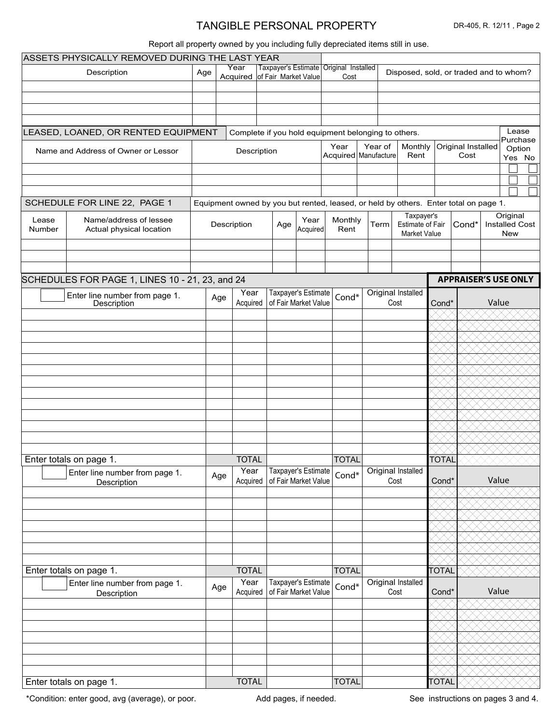# TANGIBLE PERSONAL PROPERTY

#### Report all property owned by you including fully depreciated items still in use.

|                                                        | ASSETS PHYSICALLY REMOVED DURING THE LAST YEAR       |                                                                                      |     |                                                     |                      |                                             |                                                      |                                                   |                        |                                                |              |                                  |                                        |  |
|--------------------------------------------------------|------------------------------------------------------|--------------------------------------------------------------------------------------|-----|-----------------------------------------------------|----------------------|---------------------------------------------|------------------------------------------------------|---------------------------------------------------|------------------------|------------------------------------------------|--------------|----------------------------------|----------------------------------------|--|
| Description                                            |                                                      | Age                                                                                  |     | Year                                                | Taxpayer's Estimate  |                                             | Original Installed                                   |                                                   |                        |                                                |              |                                  | Disposed, sold, or traded and to whom? |  |
|                                                        |                                                      |                                                                                      |     | Acquired of Fair Market Value                       |                      |                                             |                                                      | Cost                                              |                        |                                                |              |                                  |                                        |  |
|                                                        |                                                      |                                                                                      |     |                                                     |                      |                                             |                                                      |                                                   |                        |                                                |              |                                  |                                        |  |
|                                                        |                                                      |                                                                                      |     |                                                     |                      |                                             |                                                      |                                                   |                        |                                                |              |                                  |                                        |  |
|                                                        |                                                      |                                                                                      |     |                                                     |                      |                                             |                                                      |                                                   |                        |                                                |              |                                  |                                        |  |
|                                                        | LEASED, LOANED, OR RENTED EQUIPMENT                  |                                                                                      |     | Complete if you hold equipment belonging to others. |                      |                                             |                                                      |                                                   |                        |                                                |              |                                  | Lease                                  |  |
|                                                        |                                                      |                                                                                      |     |                                                     |                      |                                             |                                                      |                                                   |                        |                                                |              |                                  | Purchase                               |  |
| Name and Address of Owner or Lessor                    |                                                      | Description                                                                          |     |                                                     |                      | Year                                        | Year of<br>Monthly<br>Acquired   Manufacture<br>Rent |                                                   |                        | Original Installed<br>Option<br>Cost<br>Yes No |              |                                  |                                        |  |
|                                                        |                                                      |                                                                                      |     |                                                     |                      |                                             |                                                      |                                                   |                        |                                                |              |                                  |                                        |  |
|                                                        |                                                      |                                                                                      |     |                                                     |                      |                                             |                                                      |                                                   |                        |                                                |              |                                  |                                        |  |
|                                                        |                                                      |                                                                                      |     |                                                     |                      |                                             |                                                      |                                                   |                        |                                                |              |                                  |                                        |  |
|                                                        | SCHEDULE FOR LINE 22, PAGE 1                         |                                                                                      |     |                                                     |                      |                                             |                                                      |                                                   |                        |                                                |              |                                  |                                        |  |
|                                                        |                                                      | Equipment owned by you but rented, leased, or held by others. Enter total on page 1. |     |                                                     |                      |                                             |                                                      |                                                   | Taxpayer's<br>Original |                                                |              |                                  |                                        |  |
| Name/address of lessee<br>Lease                        |                                                      |                                                                                      |     | Description                                         | Year<br>Age          |                                             | Monthly                                              |                                                   | Term                   | <b>Estimate of Fair</b>                        |              | Cond*                            | <b>Installed Cost</b>                  |  |
| Number                                                 | Actual physical location                             |                                                                                      |     |                                                     | Acquired             |                                             | Rent                                                 |                                                   |                        | <b>Market Value</b>                            |              |                                  | New                                    |  |
|                                                        |                                                      |                                                                                      |     |                                                     |                      |                                             |                                                      |                                                   |                        |                                                |              | $\overline{\phantom{a}}$         |                                        |  |
|                                                        |                                                      |                                                                                      |     |                                                     |                      |                                             |                                                      |                                                   |                        |                                                |              | $\vert \blacktriangledown \vert$ |                                        |  |
|                                                        |                                                      |                                                                                      |     |                                                     |                      |                                             |                                                      |                                                   |                        |                                                |              | $\overline{\phantom{a}}$         |                                        |  |
|                                                        | SCHEDULES FOR PAGE 1, LINES 10 - 21, 23, and 24      |                                                                                      |     |                                                     |                      |                                             |                                                      |                                                   |                        |                                                |              |                                  | <b>APPRAISER'S USE ONLY</b>            |  |
|                                                        | $\blacktriangleright$ Enter line number from page 1. |                                                                                      | Age | Year                                                |                      | Taxpayer's Estimate                         |                                                      |                                                   |                        | Original Installed                             |              |                                  |                                        |  |
|                                                        | Description                                          |                                                                                      |     | Acquired                                            |                      | of Fair Market Value                        | Cond*                                                |                                                   |                        | Cost                                           | Cond*        |                                  | Value                                  |  |
|                                                        |                                                      |                                                                                      |     |                                                     |                      |                                             |                                                      | $\overline{\phantom{a}}$                          |                        |                                                |              |                                  |                                        |  |
|                                                        |                                                      |                                                                                      |     |                                                     |                      |                                             |                                                      | $\boxed{\mathbf{v}}$                              |                        |                                                |              |                                  |                                        |  |
|                                                        |                                                      |                                                                                      |     |                                                     |                      |                                             |                                                      | $\blacksquare$                                    |                        |                                                |              |                                  |                                        |  |
|                                                        |                                                      |                                                                                      |     |                                                     |                      |                                             |                                                      | $\blacktriangleright$                             |                        |                                                |              |                                  |                                        |  |
|                                                        |                                                      |                                                                                      |     |                                                     |                      |                                             |                                                      | $\vert \blacktriangledown \vert$                  |                        |                                                |              |                                  |                                        |  |
|                                                        |                                                      |                                                                                      |     |                                                     |                      |                                             |                                                      | $\boxed{\mathbf{v}}$                              |                        |                                                |              |                                  |                                        |  |
|                                                        |                                                      |                                                                                      |     |                                                     |                      |                                             |                                                      | $\blacktriangleright$                             |                        |                                                |              |                                  |                                        |  |
|                                                        |                                                      |                                                                                      |     |                                                     |                      |                                             |                                                      | $\blacktriangleright$                             |                        |                                                |              |                                  |                                        |  |
|                                                        |                                                      |                                                                                      |     |                                                     |                      |                                             |                                                      | $\blacktriangleright$                             |                        |                                                |              |                                  |                                        |  |
|                                                        |                                                      |                                                                                      |     |                                                     |                      |                                             |                                                      | $\vert \textbf{v} \vert$                          |                        |                                                |              |                                  |                                        |  |
|                                                        |                                                      |                                                                                      |     |                                                     |                      |                                             |                                                      | $\blacktriangleright$<br>$\vert \textbf{v} \vert$ |                        |                                                |              |                                  |                                        |  |
|                                                        |                                                      |                                                                                      |     |                                                     |                      |                                             |                                                      | $\overline{\phantom{0}}$                          |                        |                                                |              |                                  |                                        |  |
| Enter totals on page 1.                                |                                                      |                                                                                      |     | <b>TOTAL</b>                                        |                      |                                             | <b>TOTAL</b>                                         |                                                   |                        |                                                | <b>TOTAL</b> |                                  |                                        |  |
| $\mathbf{r}$                                           |                                                      |                                                                                      |     | Year                                                |                      | Taxpayer's Estimate                         |                                                      |                                                   |                        | Original Installed                             |              |                                  |                                        |  |
|                                                        | Enter line number from page 1.<br>Description        |                                                                                      | Age | Acquired                                            | of Fair Market Value |                                             | Cond*                                                |                                                   |                        | Cost                                           | Cond*        |                                  | Value                                  |  |
|                                                        |                                                      |                                                                                      |     |                                                     |                      |                                             |                                                      | $\vert \blacktriangledown \vert$                  |                        |                                                |              |                                  |                                        |  |
|                                                        |                                                      |                                                                                      |     |                                                     |                      |                                             |                                                      | $\overline{\phantom{a}}$                          |                        |                                                |              |                                  |                                        |  |
|                                                        |                                                      |                                                                                      |     |                                                     |                      |                                             |                                                      |                                                   |                        |                                                |              |                                  |                                        |  |
|                                                        |                                                      |                                                                                      |     |                                                     |                      |                                             |                                                      | $\overline{\Xi}$                                  |                        |                                                |              |                                  |                                        |  |
|                                                        |                                                      |                                                                                      |     |                                                     |                      |                                             |                                                      | $\overline{\phantom{0}}$                          |                        |                                                |              |                                  |                                        |  |
|                                                        |                                                      |                                                                                      |     |                                                     |                      |                                             |                                                      | $\blacksquare$                                    |                        |                                                |              |                                  |                                        |  |
|                                                        |                                                      |                                                                                      |     |                                                     |                      |                                             |                                                      | $\overline{\phantom{a}}$                          |                        |                                                |              |                                  |                                        |  |
| Enter totals on page 1.                                |                                                      |                                                                                      |     | <b>TOTAL</b>                                        |                      |                                             | <b>TOTAL</b>                                         |                                                   |                        |                                                | <b>TOTAL</b> |                                  |                                        |  |
| $\blacktriangledown$<br>Enter line number from page 1. |                                                      |                                                                                      | Age | Year<br>Acquired                                    |                      | Taxpayer's Estimate<br>of Fair Market Value | Cond*                                                |                                                   |                        | Original Installed<br>Cost                     | Cond*        |                                  | Value                                  |  |
|                                                        | Description                                          |                                                                                      |     |                                                     |                      |                                             |                                                      | $\blacksquare$                                    |                        |                                                |              |                                  |                                        |  |
|                                                        |                                                      |                                                                                      |     |                                                     |                      |                                             |                                                      | $\boxed{\mathbf{v}}$                              |                        |                                                |              |                                  |                                        |  |
|                                                        |                                                      |                                                                                      |     |                                                     |                      |                                             |                                                      | $\vert \textbf{v} \vert$                          |                        |                                                |              |                                  |                                        |  |
|                                                        |                                                      |                                                                                      |     |                                                     |                      |                                             |                                                      | $\blacktriangleright$                             |                        |                                                |              |                                  |                                        |  |
|                                                        |                                                      |                                                                                      |     |                                                     |                      |                                             |                                                      | $\overline{\blacksquare}$                         |                        |                                                |              |                                  |                                        |  |
|                                                        |                                                      |                                                                                      |     |                                                     |                      |                                             |                                                      | $\overline{\phantom{a}}$                          |                        |                                                |              |                                  |                                        |  |
|                                                        |                                                      |                                                                                      |     |                                                     |                      |                                             |                                                      | $\overline{\mathbf{z}}$                           |                        |                                                |              |                                  |                                        |  |
|                                                        | Enter totals on page 1.                              |                                                                                      |     | <b>TOTAL</b>                                        |                      |                                             | <b>TOTAL</b>                                         |                                                   |                        |                                                | <b>TOTAL</b> |                                  |                                        |  |

\*Condition: enter good, avg (average), or poor. Add pages, if needed.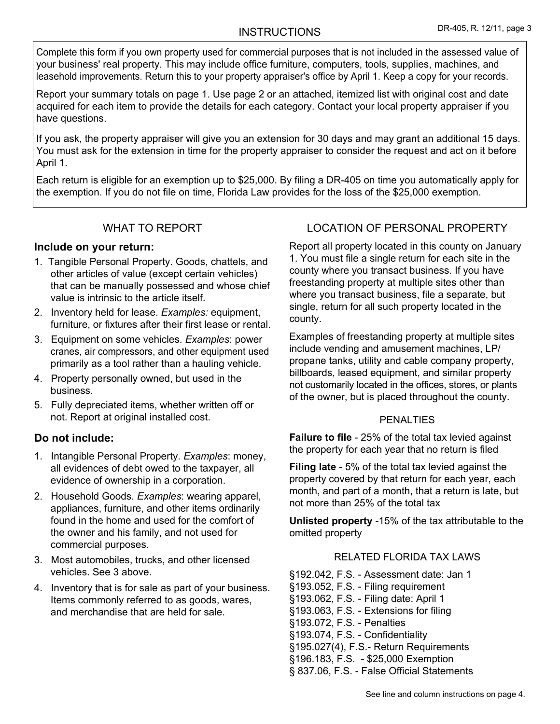# INSTRUCTIONS DR-405, R. 12/11, page 3

Complete this form if you own property used for commercial purposes that is not included in the assessed value of your business' real property. This may include office furniture, computers, tools, supplies, machines, and leasehold improvements. Return this to your property appraiser's office by April 1. Keep a copy for your records.

Report your summary totals on page 1. Use page 2 or an attached, itemized list with original cost and date acquired for each item to provide the details for each category. Contact your local property appraiser if you have questions.

If you ask, the property appraiser will give you an extension for 30 days and may grant an additional 15 days. You must ask for the extension in time for the property appraiser to consider the request and act on it before April 1.

Each return is eligible for an exemption up to \$25,000. By filing a DR-405 on time you automatically apply for the exemption. If you do not file on time, Florida Law provides for the loss of the \$25,000 exemption.

# WHAT TO REPORT

### **Include on your return:**

- 1. Tangible Personal Property. Goods, chattels, and other articles of value (except certain vehicles) that can be manually possessed and whose chief value is intrinsic to the article itself.
- 2. Inventory held for lease. *Examples:* equipment, furniture, or fixtures after their first lease or rental.
- 3. Equipment on some vehicles. *Examples*: power cranes, air compressors, and other equipment used primarily as a tool rather than a hauling vehicle.
- 4. Property personally owned, but used in the business.
- 5. Fully depreciated items, whether written off or not. Report at original installed cost.

## **Do not include:**

- 1. Intangible Personal Property. *Examples*: money, all evidences of debt owed to the taxpayer, all evidence of ownership in a corporation.
- 2. Household Goods*. Examples*: wearing apparel, appliances, furniture, and other items ordinarily found in the home and used for the comfort of the owner and his family, and not used for commercial purposes.
- 3. Most automobiles, trucks, and other licensed vehicles. See 3 above.
- 4. Inventory that is for sale as part of your business. Items commonly referred to as goods, wares, and merchandise that are held for sale.

# LOCATION OF PERSONAL PROPERTY

Report all property located in this county on January 1. You must file a single return for each site in the county where you transact business. If you have freestanding property at multiple sites other than where you transact business, file a separate, but single, return for all such property located in the county.

Examples of freestanding property at multiple sites include vending and amusement machines, LP/ propane tanks, utility and cable company property, billboards, leased equipment, and similar property not customarily located in the offices, stores, or plants of the owner, but is placed throughout the county.

#### PENALTIES

**Failure to file** - 25% of the total tax levied against the property for each year that no return is filed

**Filing late** - 5% of the total tax levied against the property covered by that return for each year, each month, and part of a month, that a return is late, but not more than 25% of the total tax

**Unlisted property** -15% of the tax attributable to the omitted property

#### RELATED FLORIDA TAX LAWS

§192.042, F.S. - Assessment date: Jan 1 §193.052, F.S. - Filing requirement §193.062, F.S. - Filing date: April 1 §193.063, F.S. - Extensions for filing §193.072, F.S. - Penalties §193.074, F.S. - Confidentiality §195.027(4), F.S.- Return Requirements §196.183, F.S. - \$25,000 Exemption § 837.06, F.S. - False Official Statements